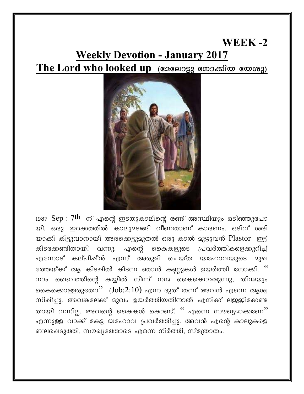## WEEK- $2$ **Weekly Devotion - January 2017** The Lord who looked up (ദേലോട്ടു നോക്കിയ യേശു)



1987  $\text{Sep}:7\text{th}$  ന് എന്റെ ഇടതുകാലിന്റെ രണ്ട് അസ്ഥിയും ഒടിഞ്ഞുപോ യി. ഒരു ഇറക്കത്തിൽ കാലുമടങ്ങി വീണതാണ് കാരണം. ഒടിവ് ശരി യാക്കി കിട്ടുവാനായി അരക്കെട്ടുമുതൽ ഒരു കാൽ മുഴുവൻ Plastor ഇട്ട് കിടക്കേണ്ടിതായി വന്നു. എന്റെ കൈകളുടെ പ്രവർത്തികളെക്കുറിച്ച് എന്നോട് കല്പിഷീൻ എന്ന് അരുളി ചെയ്ത യഹോവയുടെ മാഖ ത്തേയ്ക്ക് ആ കിടപ്പിൽ കിടന്ന ഞാൻ കണ്ണുകൾ ഉയർത്തി നോക്കി.  $``$ നാം ദൈവത്തിന്റെ കയ്യിൽ നിന്ന് നന്മ കൈക്കൊള്ളുന്നു, തിന്മയും കൈക്കൊള്ളരുതോ''  $(Job:2:10)$  എന്ന ദൂത് തന്ന് അവൻ എന്നെ ആശ്വ സിപ്പിച്ചു. അവങ്കലേക്ക് മുഖം ഉയർത്തിയതിനാൽ എനിക്ക് ലഇജിക്കേണ്ട തായി വന്നില്ല. അവന്റെ കൈകൾ കൊണ്ട്. '' എന്നെ സൗഖ്യമാക്കണേ'' എന്നുള്ള വാക്ക് കേട്ട യഹോവ പ്രവർത്തിച്ചു. അവൻ എന്റെ കാലുകളെ ബലപ്പെടുത്തി, സൗഖ്യത്തോടെ എന്നെ നിർത്തി, സ്ത്രോതം.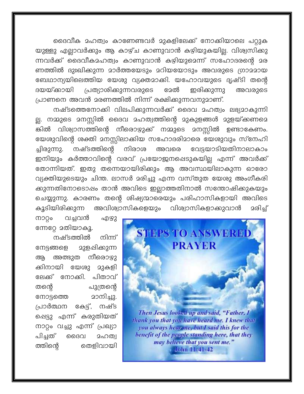ദൈവീക മഹത്വം കാണേണ്ടവർ മുകളിലേക്ക് നോക്കിയാലെ പറ്റുക യുള്ളു എല്ലാവർക്കും ആ കാഴ്ച കാണുവാൻ കഴിയുകയില്ല. വിശ്വസിക്കു ന്നവർക്ക് ദൈവീകമഹത്വം കാണുവാൻ കഴിയുമെന്ന് സഹോദരന്റെ മര ണത്തിൽ ദുഃഖിക്കുന്ന മാർത്തയേടും മറിയയോടും അവരുടെ ഗ്രാമമായ ബേഥാന്യയിലെത്തിയ യേശു വ്യക്തമാക്കി. യഹോവയുടെ ദൃഷ്ടി തന്റെ പ്രത്യാശിക്കുന്നവരുടെ ദയയ്ക്കായി ദേൽ ഇരിക്കുന്നു അവരുടെ പ്രാണനെ അവൻ മരണത്തിൽ നിന്ന് രക്ഷിക്കുന്നവനുമാണ്.

നഷ്ടത്തെനോക്കി വിലപിക്കുന്നവർക്ക് ദൈവ മഹത്വം ലഭ്യമാകുന്നി ല്ല. നമ്മുടെ മനസ്സിൽ ദൈവ മഹത്വത്തിന്റെ മുകുളങ്ങൾ മുളയ്ക്കണമെ ങ്കിൽ വിശ്വാസത്തിന്റെ നീരൊഴുക്ക് നമ്മുടെ മനസ്സിൽ ഉണ്ടാകേണം. യേശുവിന്റെ ശക്തി മനസ്സിലാക്കിയ സഹോദരിമാരെ യേശുവും സ്നേഹി നഷ്ടത്തിന്റെ വേട്ടയാടിയതിനാലാകാം ച്ചിരുന്നു. നിരാശ അവരെ ഇനിയും കർത്താവിന്റെ വരവ് പ്രയോജനപ്പെടുകയില്ല എന്ന് അവർക്ക് തോന്നിയത്. ഇതു തന്നെയായിരിക്കും ആ അവസ്ഥയിലാകുന്ന ഓരോ വ്യക്തിയുടെയും ചിന്ത. ലാസർ മരിച്ചു എന്ന വസ്തുത യേശു അംഗീകരി ക്കുന്നതിനോടൊഷം താൻ അവിടെ ഇല്ലാത്തതിനാൽ സന്തോഷിക്കുകയും ചെയ്യുന്നു. കാരണം തന്റെ ശിഷ്യന്മാരെയും പരിഹാസികളായി അവിടെ കൂടിയിരിക്കുന്ന അവിശ്വാസികളെയും വിശ്വാസികളാക്കുവാൻ <u>ാരിച്</u>



John 11:41-42

വച്ചവൻ ကၥဝွ၀ എഴു ന്നേറ്റേ മതിയാകൂ.

നഷ്ടത്തിൽ നിന്ന് <u>ാുള</u>പ്പിക്കുന്ന നേട്ടങ്ങളെ അത്ഭുത നീരൊഴു ആ ക്കിനായി യേശു മുകളി ലേക്ക് നോക്കി. പിതാവ് തന്റെ പുത്രന്റെ മാനിച്ചു. നോട്ടത്തെ പ്രാർത്ഥന കേട്ട്, നഷ്ട ഷെട്ടു എന്ന് കരുതിയത് നാറ്റം വച്ചു എന്ന് പ്രഖ്യാ പിച്ചത് ദൈവ 2ഹത്വ തെളിവായി ത്തിന്റെ